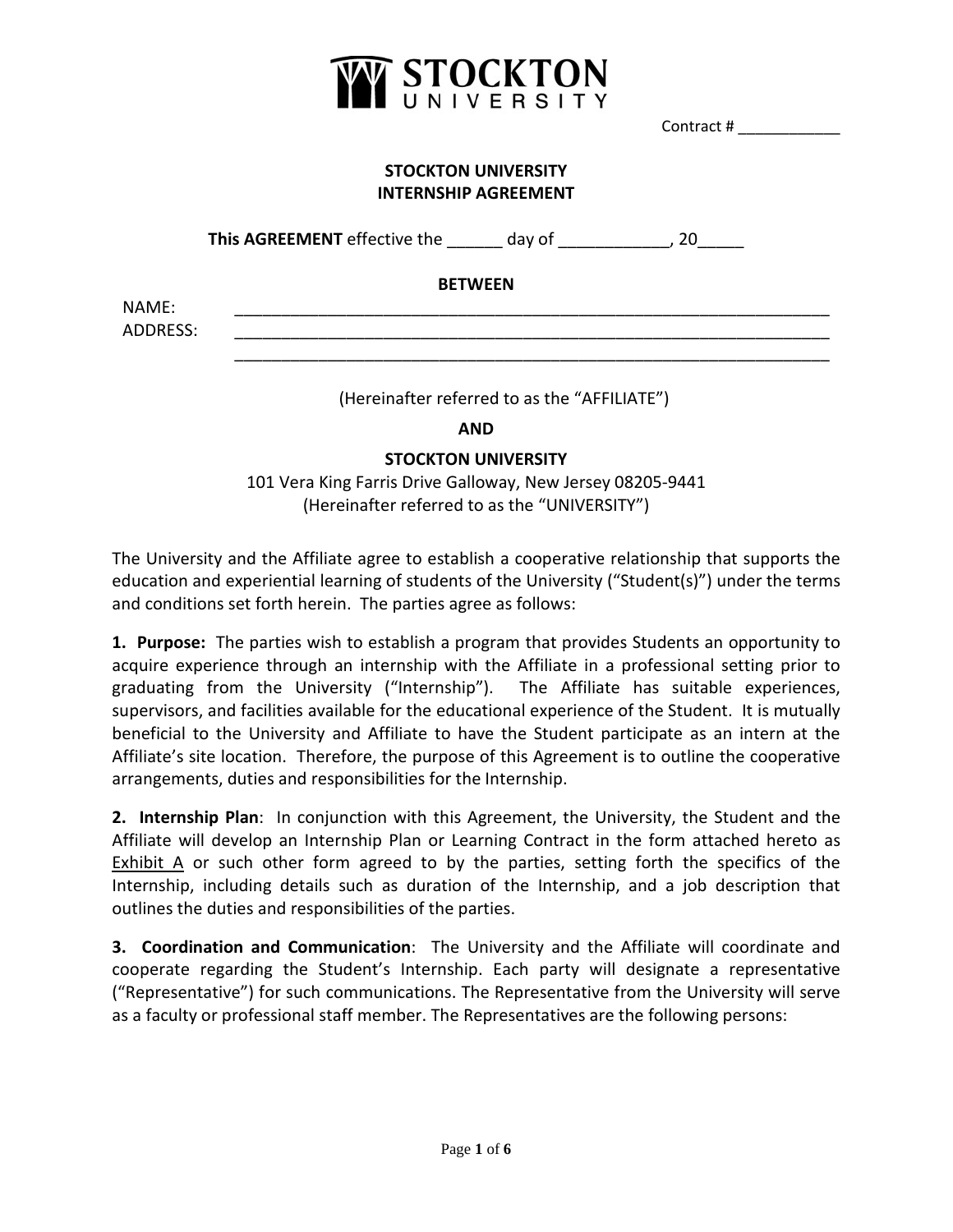

Contract # \_\_\_\_\_\_\_\_\_\_\_\_

# **STOCKTON UNIVERSITY INTERNSHIP AGREEMENT**

**This AGREEMENT** effective the \_\_\_\_\_\_ day of \_\_\_\_\_\_\_\_\_\_\_\_, 20\_\_\_\_\_

# **BETWEEN**

NAME: \_\_\_\_\_\_\_\_\_\_\_\_\_\_\_\_\_\_\_\_\_\_\_\_\_\_\_\_\_\_\_\_\_\_\_\_\_\_\_\_\_\_\_\_\_\_\_\_\_\_\_\_\_\_\_\_\_\_\_\_\_\_\_\_ ADDRESS: \_\_\_\_\_\_\_\_\_\_\_\_\_\_\_\_\_\_\_\_\_\_\_\_\_\_\_\_\_\_\_\_\_\_\_\_\_\_\_\_\_\_\_\_\_\_\_\_\_\_\_\_\_\_\_\_\_\_\_\_\_\_\_\_

(Hereinafter referred to as the "AFFILIATE")

\_\_\_\_\_\_\_\_\_\_\_\_\_\_\_\_\_\_\_\_\_\_\_\_\_\_\_\_\_\_\_\_\_\_\_\_\_\_\_\_\_\_\_\_\_\_\_\_\_\_\_\_\_\_\_\_\_\_\_\_\_\_\_\_

**AND**

# **STOCKTON UNIVERSITY**

101 Vera King Farris Drive Galloway, New Jersey 08205-9441 (Hereinafter referred to as the "UNIVERSITY")

The University and the Affiliate agree to establish a cooperative relationship that supports the education and experiential learning of students of the University ("Student(s)") under the terms and conditions set forth herein. The parties agree as follows:

**1. Purpose:** The parties wish to establish a program that provides Students an opportunity to acquire experience through an internship with the Affiliate in a professional setting prior to graduating from the University ("Internship").The Affiliate has suitable experiences, supervisors, and facilities available for the educational experience of the Student. It is mutually beneficial to the University and Affiliate to have the Student participate as an intern at the Affiliate's site location. Therefore, the purpose of this Agreement is to outline the cooperative arrangements, duties and responsibilities for the Internship.

**2. Internship Plan**: In conjunction with this Agreement, the University, the Student and the Affiliate will develop an Internship Plan or Learning Contract in the form attached hereto as Exhibit A or such other form agreed to by the parties, setting forth the specifics of the Internship, including details such as duration of the Internship, and a job description that outlines the duties and responsibilities of the parties.

**3. Coordination and Communication**: The University and the Affiliate will coordinate and cooperate regarding the Student's Internship. Each party will designate a representative ("Representative") for such communications. The Representative from the University will serve as a faculty or professional staff member. The Representatives are the following persons: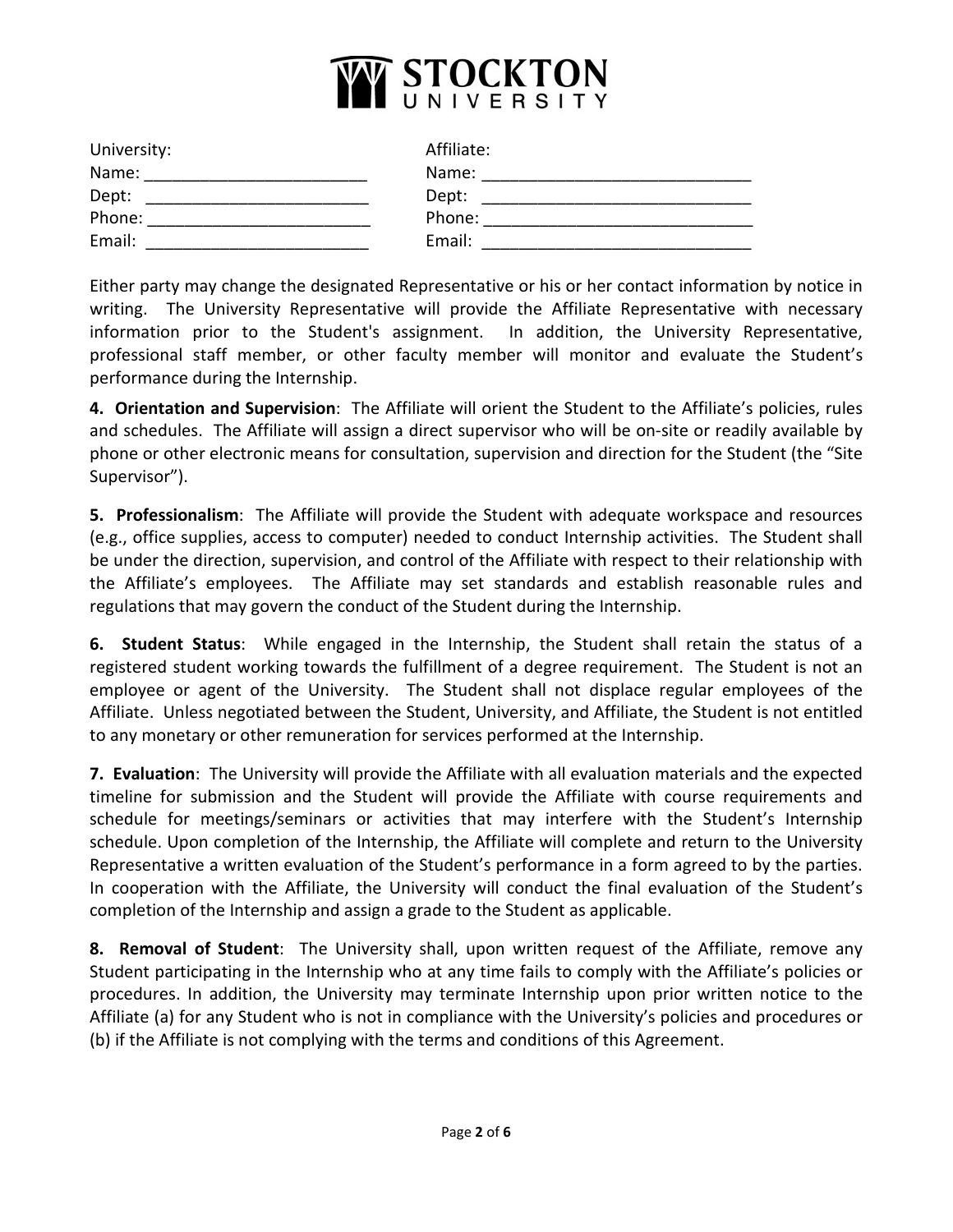

| University: | Affiliate: |
|-------------|------------|
| Name:       | Name:      |
| Dept:       | Dept:      |
| Phone:      | Phone:     |
| Email:      | Email:     |

Either party may change the designated Representative or his or her contact information by notice in writing. The University Representative will provide the Affiliate Representative with necessary information prior to the Student's assignment. In addition, the University Representative, professional staff member, or other faculty member will monitor and evaluate the Student's performance during the Internship.

**4. Orientation and Supervision**: The Affiliate will orient the Student to the Affiliate's policies, rules and schedules. The Affiliate will assign a direct supervisor who will be on-site or readily available by phone or other electronic means for consultation, supervision and direction for the Student (the "Site Supervisor").

**5. Professionalism**: The Affiliate will provide the Student with adequate workspace and resources (e.g., office supplies, access to computer) needed to conduct Internship activities. The Student shall be under the direction, supervision, and control of the Affiliate with respect to their relationship with the Affiliate's employees. The Affiliate may set standards and establish reasonable rules and regulations that may govern the conduct of the Student during the Internship.

**6. Student Status**: While engaged in the Internship, the Student shall retain the status of a registered student working towards the fulfillment of a degree requirement. The Student is not an employee or agent of the University. The Student shall not displace regular employees of the Affiliate. Unless negotiated between the Student, University, and Affiliate, the Student is not entitled to any monetary or other remuneration for services performed at the Internship.

**7. Evaluation**: The University will provide the Affiliate with all evaluation materials and the expected timeline for submission and the Student will provide the Affiliate with course requirements and schedule for meetings/seminars or activities that may interfere with the Student's Internship schedule. Upon completion of the Internship, the Affiliate will complete and return to the University Representative a written evaluation of the Student's performance in a form agreed to by the parties. In cooperation with the Affiliate, the University will conduct the final evaluation of the Student's completion of the Internship and assign a grade to the Student as applicable.

**8. Removal of Student**: The University shall, upon written request of the Affiliate, remove any Student participating in the Internship who at any time fails to comply with the Affiliate's policies or procedures. In addition, the University may terminate Internship upon prior written notice to the Affiliate (a) for any Student who is not in compliance with the University's policies and procedures or (b) if the Affiliate is not complying with the terms and conditions of this Agreement.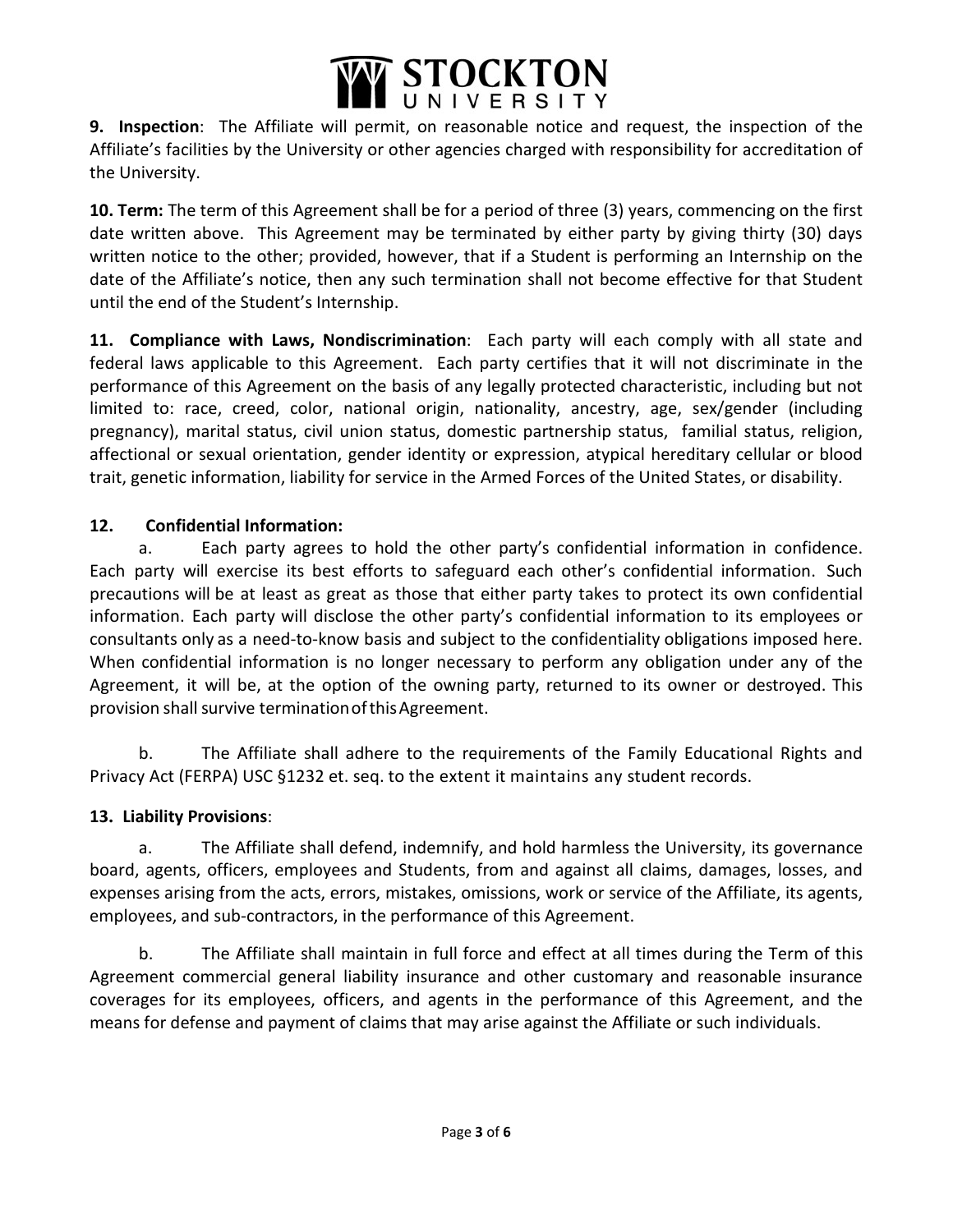

**9. Inspection**: The Affiliate will permit, on reasonable notice and request, the inspection of the Affiliate's facilities by the University or other agencies charged with responsibility for accreditation of the University.

**10. Term:** The term of this Agreement shall be for a period of three (3) years, commencing on the first date written above. This Agreement may be terminated by either party by giving thirty (30) days written notice to the other; provided, however, that if a Student is performing an Internship on the date of the Affiliate's notice, then any such termination shall not become effective for that Student until the end of the Student's Internship.

**11. Compliance with Laws, Nondiscrimination**: Each party will each comply with all state and federal laws applicable to this Agreement. Each party certifies that it will not discriminate in the performance of this Agreement on the basis of any legally protected characteristic, including but not limited to: race, creed, color, national origin, nationality, ancestry, age, sex/gender (including pregnancy), marital status, civil union status, domestic partnership status, familial status, religion, affectional or sexual orientation, gender identity or expression, atypical hereditary cellular or blood trait, genetic information, liability for service in the Armed Forces of the United States, or disability.

# **12. Confidential Information:**

a. Each party agrees to hold the other party's confidential information in confidence. Each party will exercise its best efforts to safeguard each other's confidential information. Such precautions will be at least as great as those that either party takes to protect its own confidential information. Each party will disclose the other party's confidential information to its employees or consultants only as a need-to-know basis and subject to the confidentiality obligations imposed here. When confidential information is no longer necessary to perform any obligation under any of the Agreement, it will be, at the option of the owning party, returned to its owner or destroyed. This provision shall survive termination of this Agreement.

b. The Affiliate shall adhere to the requirements of the Family Educational Rights and Privacy Act (FERPA) USC §1232 et. seq. to the extent it maintains any student records.

# **13. Liability Provisions**:

a. The Affiliate shall defend, indemnify, and hold harmless the University, its governance board, agents, officers, employees and Students, from and against all claims, damages, losses, and expenses arising from the acts, errors, mistakes, omissions, work or service of the Affiliate, its agents, employees, and sub-contractors, in the performance of this Agreement.

b. The Affiliate shall maintain in full force and effect at all times during the Term of this Agreement commercial general liability insurance and other customary and reasonable insurance coverages for its employees, officers, and agents in the performance of this Agreement, and the means for defense and payment of claims that may arise against the Affiliate or such individuals.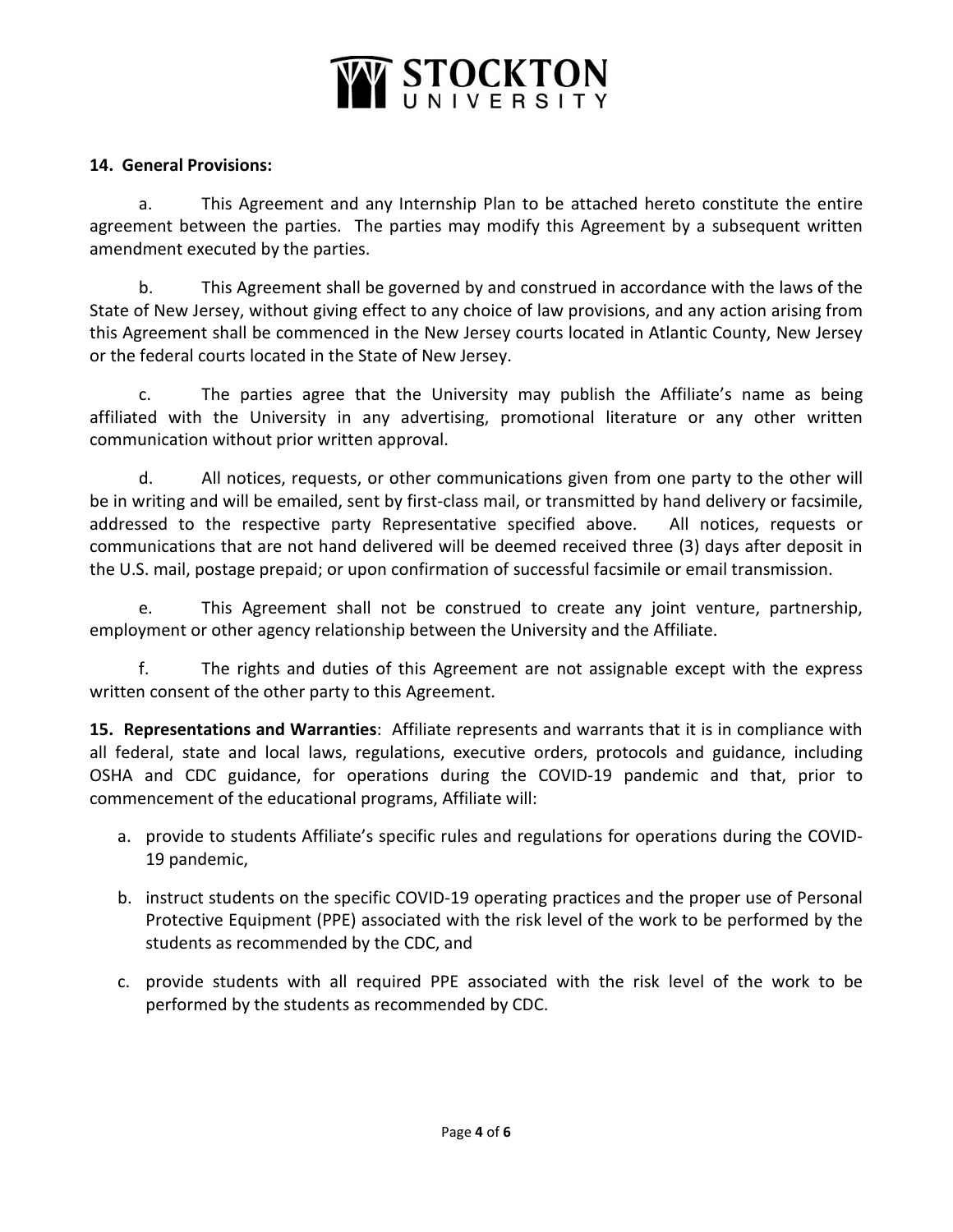# WE STOCKTON

## **14. General Provisions:**

a. This Agreement and any Internship Plan to be attached hereto constitute the entire agreement between the parties. The parties may modify this Agreement by a subsequent written amendment executed by the parties.

b. This Agreement shall be governed by and construed in accordance with the laws of the State of New Jersey, without giving effect to any choice of law provisions, and any action arising from this Agreement shall be commenced in the New Jersey courts located in Atlantic County, New Jersey or the federal courts located in the State of New Jersey.

c. The parties agree that the University may publish the Affiliate's name as being affiliated with the University in any advertising, promotional literature or any other written communication without prior written approval.

d. All notices, requests, or other communications given from one party to the other will be in writing and will be emailed, sent by first-class mail, or transmitted by hand delivery or facsimile, addressed to the respective party Representative specified above. All notices, requests or communications that are not hand delivered will be deemed received three (3) days after deposit in the U.S. mail, postage prepaid; or upon confirmation of successful facsimile or email transmission.

e. This Agreement shall not be construed to create any joint venture, partnership, employment or other agency relationship between the University and the Affiliate.

f. The rights and duties of this Agreement are not assignable except with the express written consent of the other party to this Agreement.

**15. Representations and Warranties**: Affiliate represents and warrants that it is in compliance with all federal, state and local laws, regulations, executive orders, protocols and guidance, including OSHA and CDC guidance, for operations during the COVID-19 pandemic and that, prior to commencement of the educational programs, Affiliate will:

- a. provide to students Affiliate's specific rules and regulations for operations during the COVID-19 pandemic,
- b. instruct students on the specific COVID-19 operating practices and the proper use of Personal Protective Equipment (PPE) associated with the risk level of the work to be performed by the students as recommended by the CDC, and
- c. provide students with all required PPE associated with the risk level of the work to be performed by the students as recommended by CDC.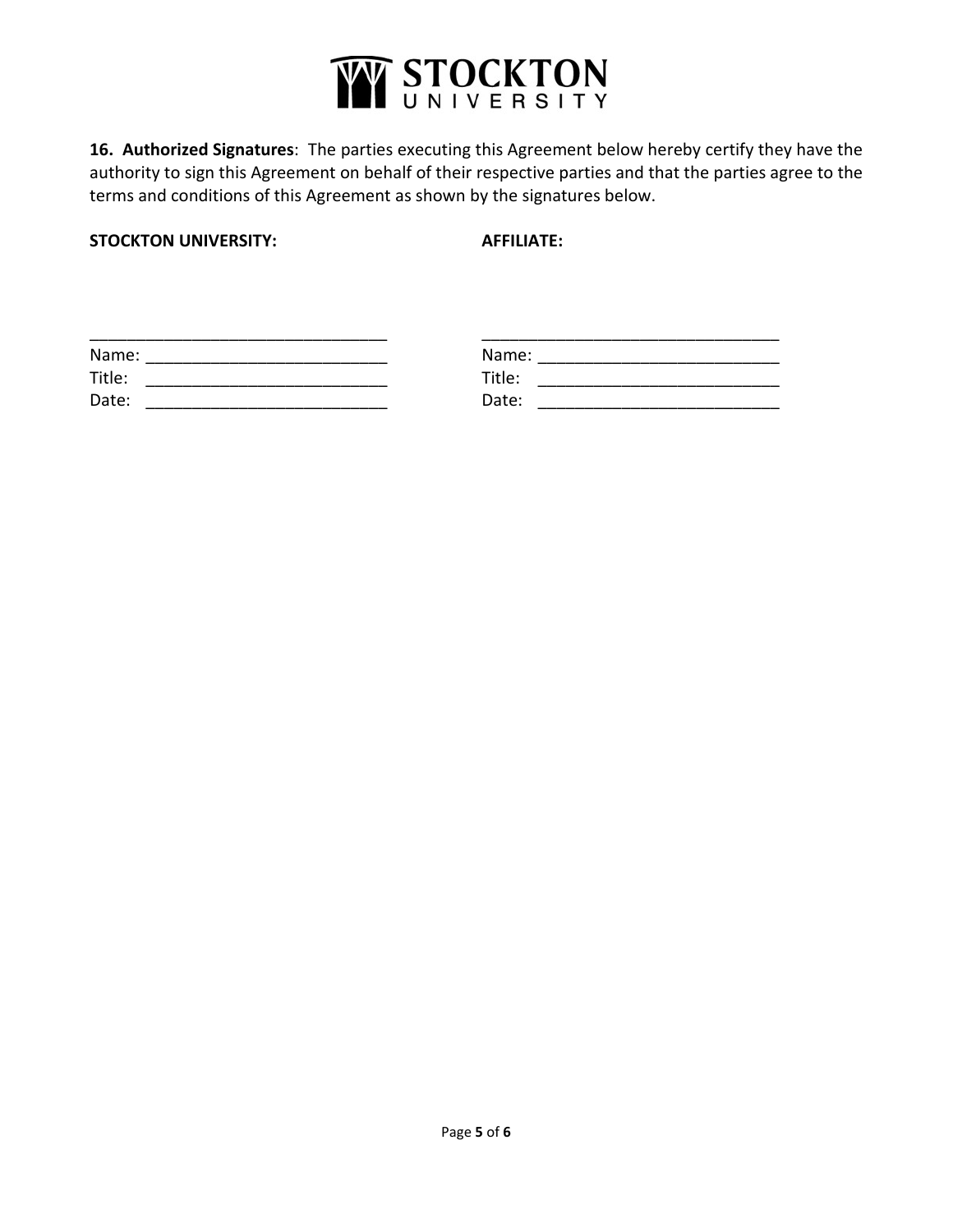

**16. Authorized Signatures**: The parties executing this Agreement below hereby certify they have the authority to sign this Agreement on behalf of their respective parties and that the parties agree to the terms and conditions of this Agreement as shown by the signatures below.

**STOCKTON UNIVERSITY: AFFILIATE:**

| Name:  | Name:  |  |
|--------|--------|--|
| Title: | Title: |  |
| Date:  | Date:  |  |